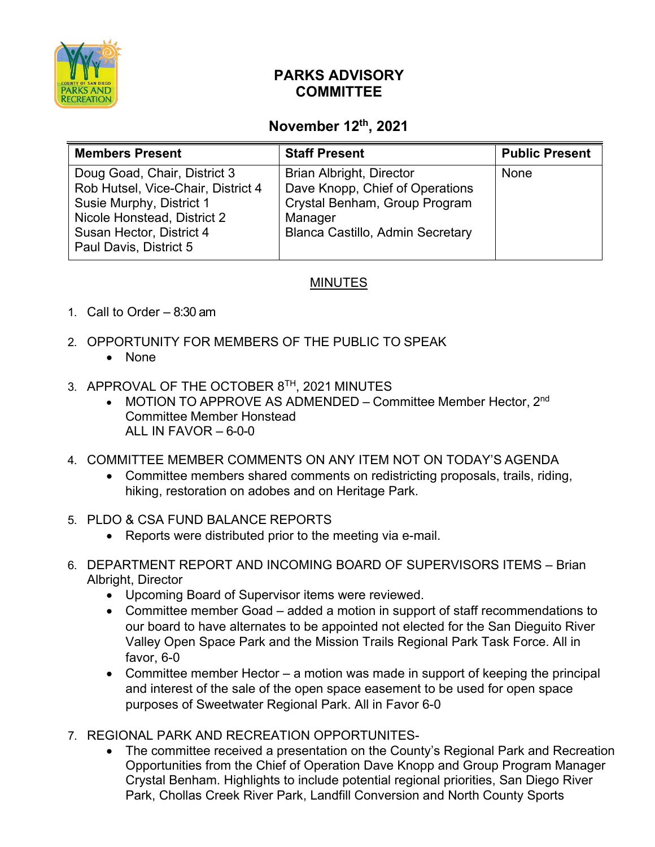

## **PARKS ADVISORY COMMITTEE**

## **November 12th, 2021**

| <b>Members Present</b>                                                                                                                                                              | <b>Staff Present</b>                                                                                                                                      | <b>Public Present</b> |
|-------------------------------------------------------------------------------------------------------------------------------------------------------------------------------------|-----------------------------------------------------------------------------------------------------------------------------------------------------------|-----------------------|
| Doug Goad, Chair, District 3<br>Rob Hutsel, Vice-Chair, District 4<br>Susie Murphy, District 1<br>Nicole Honstead, District 2<br>Susan Hector, District 4<br>Paul Davis, District 5 | <b>Brian Albright, Director</b><br>Dave Knopp, Chief of Operations<br>Crystal Benham, Group Program<br>Manager<br><b>Blanca Castillo, Admin Secretary</b> | None                  |

## **MINUTES**

- 1. Call to Order 8:30 am
- 2. OPPORTUNITY FOR MEMBERS OF THE PUBLIC TO SPEAK
	- None
- 3. APPROVAL OF THE OCTOBER 8<sup>TH</sup>, 2021 MINUTES
	- MOTION TO APPROVE AS ADMENDED Committee Member Hector,  $2^{nd}$ Committee Member Honstead ALL IN FAVOR  $-6-0-0$
- 4. COMMITTEE MEMBER COMMENTS ON ANY ITEM NOT ON TODAY'S AGENDA
	- Committee members shared comments on redistricting proposals, trails, riding, hiking, restoration on adobes and on Heritage Park.
- 5. PLDO & CSA FUND BALANCE REPORTS
	- Reports were distributed prior to the meeting via e-mail.
- 6. DEPARTMENT REPORT AND INCOMING BOARD OF SUPERVISORS ITEMS Brian Albright, Director
	- Upcoming Board of Supervisor items were reviewed.
	- Committee member Goad added a motion in support of staff recommendations to our board to have alternates to be appointed not elected for the San Dieguito River Valley Open Space Park and the Mission Trails Regional Park Task Force. All in favor, 6-0
	- Committee member Hector a motion was made in support of keeping the principal and interest of the sale of the open space easement to be used for open space purposes of Sweetwater Regional Park. All in Favor 6-0
- 7. REGIONAL PARK AND RECREATION OPPORTUNITES-
	- The committee received a presentation on the County's Regional Park and Recreation Opportunities from the Chief of Operation Dave Knopp and Group Program Manager Crystal Benham. Highlights to include potential regional priorities, San Diego River Park, Chollas Creek River Park, Landfill Conversion and North County Sports